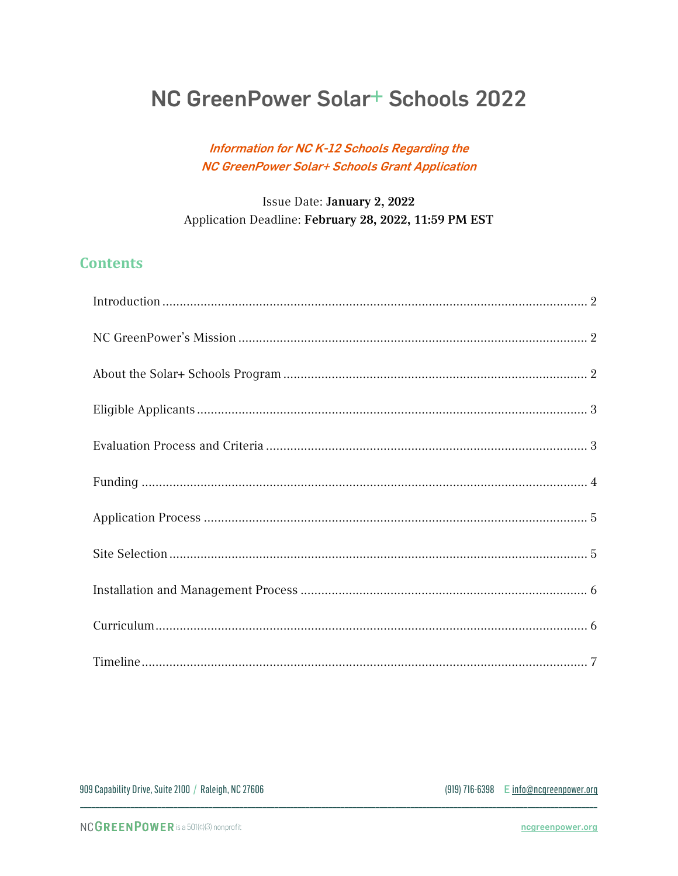# NC GreenPower Solar<sup>+</sup> Schools 2022

#### Information for NC K-12 Schools Regarding the NC GreenPower Solar+ Schools Grant Application

#### Issue Date: January 2, 2022 Application Deadline: February 28, 2022, 11:59 PM EST

## **Contents**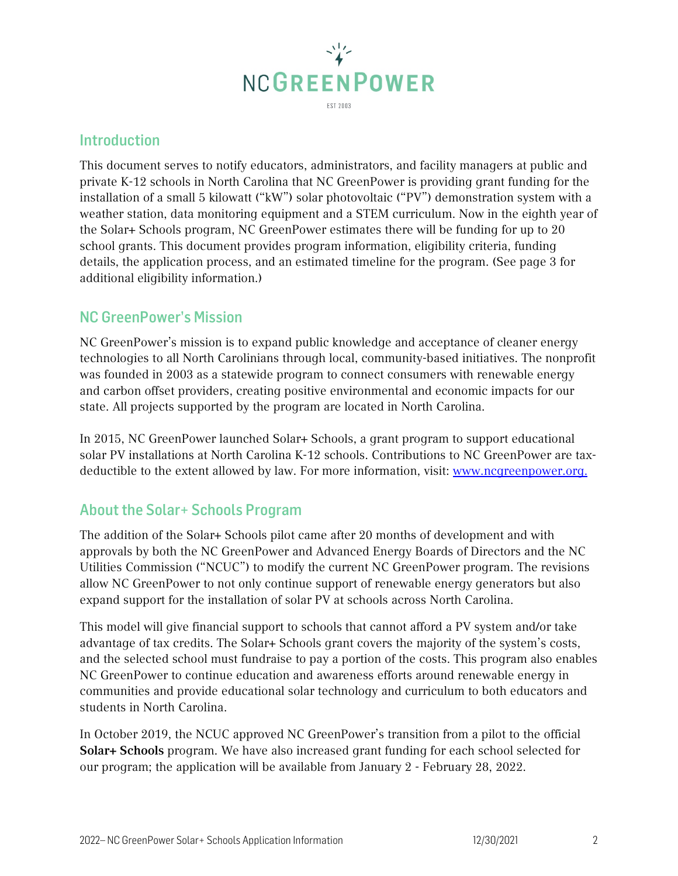

## <span id="page-1-0"></span>Introduction

This document serves to notify educators, administrators, and facility managers at public and private K-12 schools in North Carolina that NC GreenPower is providing grant funding for the installation of a small 5 kilowatt ("kW") solar photovoltaic ("PV") demonstration system with a weather station, data monitoring equipment and a STEM curriculum. Now in the eighth year of the Solar+ Schools program, NC GreenPower estimates there will be funding for up to 20 school grants. This document provides program information, eligibility criteria, funding details, the application process, and an estimated timeline for the program. (See page 3 for additional eligibility information.)

#### <span id="page-1-1"></span>NC GreenPower's Mission

NC GreenPower's mission is to expand public knowledge and acceptance of cleaner energy technologies to all North Carolinians through local, community-based initiatives. The nonprofit was founded in 2003 as a statewide program to connect consumers with renewable energy and carbon offset providers, creating positive environmental and economic impacts for our state. All projects supported by the program are located in North Carolina.

In 2015, NC GreenPower launched Solar+ Schools, a grant program to support educational solar PV installations at North Carolina K-12 schools. Contributions to NC GreenPower are taxdeductible to the extent allowed by law. For more information, visit: [www.ncgreenpower.org.](http://www.ncgreenpower.org/)

## <span id="page-1-2"></span>About the Solar+ Schools Program

The addition of the Solar+ Schools pilot came after 20 months of development and with approvals by both the NC GreenPower and Advanced Energy Boards of Directors and the NC Utilities Commission ("NCUC") to modify the current NC GreenPower program. The revisions allow NC GreenPower to not only continue support of renewable energy generators but also expand support for the installation of solar PV at schools across North Carolina.

This model will give financial support to schools that cannot afford a PV system and/or take advantage of tax credits. The Solar+ Schools grant covers the majority of the system's costs, and the selected school must fundraise to pay a portion of the costs. This program also enables NC GreenPower to continue education and awareness efforts around renewable energy in communities and provide educational solar technology and curriculum to both educators and students in North Carolina.

In October 2019, the NCUC approved NC GreenPower's transition from a pilot to the official Solar+ Schools program. We have also increased grant funding for each school selected for our program; the application will be available from January 2 - February 28, 2022.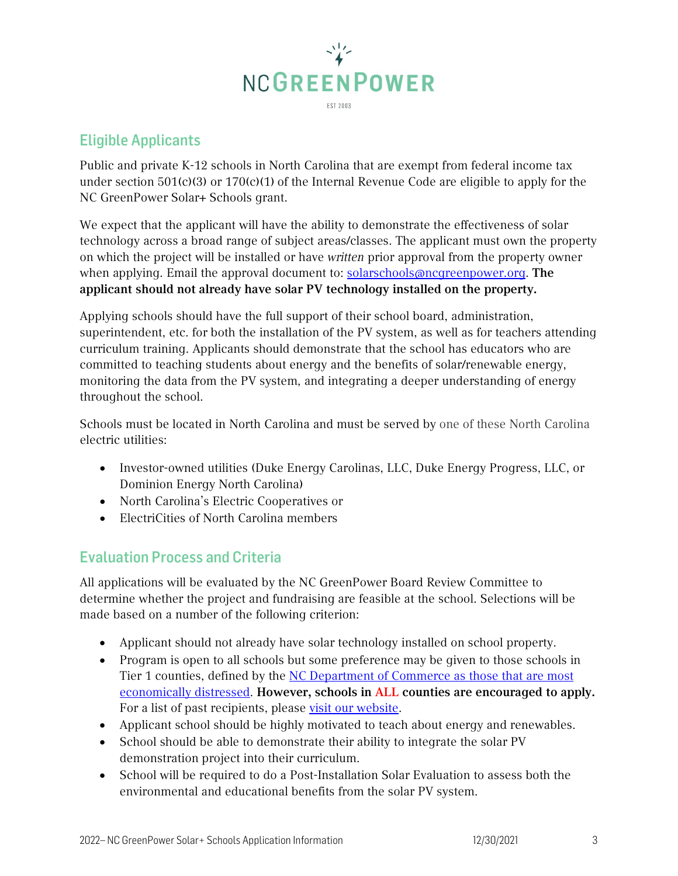

## <span id="page-2-0"></span>Eligible Applicants

Public and private K-12 schools in North Carolina that are exempt from federal income tax under section 501(c)(3) or 170(c)(1) of the Internal Revenue Code are eligible to apply for the NC GreenPower Solar+ Schools grant.

We expect that the applicant will have the ability to demonstrate the effectiveness of solar technology across a broad range of subject areas/classes. The applicant must own the property on which the project will be installed or have *written* prior approval from the property owner when applying. Email the approval document to: [solarschools@ncgreenpower.org.](mailto:solarschools@ncgreenpower.org?subject=Approval%20from%20property%20owner) The applicant should not already have solar PV technology installed on the property.

Applying schools should have the full support of their school board, administration, superintendent, etc. for both the installation of the PV system, as well as for teachers attending curriculum training. Applicants should demonstrate that the school has educators who are committed to teaching students about energy and the benefits of solar/renewable energy, monitoring the data from the PV system, and integrating a deeper understanding of energy throughout the school.

Schools must be located in North Carolina and must be served by one of these North Carolina electric utilities:

- Investor-owned utilities (Duke Energy Carolinas, LLC, Duke Energy Progress, LLC, or Dominion Energy North Carolina)
- North Carolina's Electric Cooperatives or
- ElectriCities of North Carolina members

## <span id="page-2-1"></span>Evaluation Process and Criteria

All applications will be evaluated by the NC GreenPower Board Review Committee to determine whether the project and fundraising are feasible at the school. Selections will be made based on a number of the following criterion:

- Applicant should not already have solar technology installed on school property.
- Program is open to all schools but some preference may be given to those schools in Tier 1 counties, defined by the [NC Department of Commerce](http://www.nccommerce.com/research-publications/incentive-reports/county-tier-designations) as those that are most economically distressed. However, schools in ALL counties are encouraged to apply. For a list of past recipients, please [visit our website.](https://www.ncgreenpower.org/solar-schools/)
- Applicant school should be highly motivated to teach about energy and renewables.
- School should be able to demonstrate their ability to integrate the solar PV demonstration project into their curriculum.
- School will be required to do a Post-Installation Solar Evaluation to assess both the environmental and educational benefits from the solar PV system.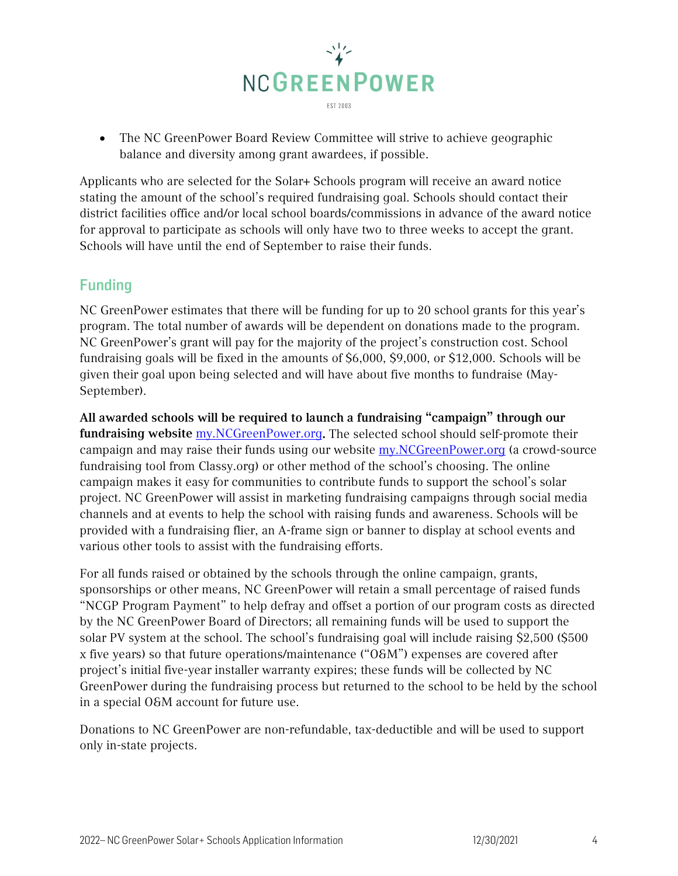

• The NC GreenPower Board Review Committee will strive to achieve geographic balance and diversity among grant awardees, if possible.

Applicants who are selected for the Solar+ Schools program will receive an award notice stating the amount of the school's required fundraising goal. Schools should contact their district facilities office and/or local school boards/commissions in advance of the award notice for approval to participate as schools will only have two to three weeks to accept the grant. Schools will have until the end of September to raise their funds.

## <span id="page-3-0"></span>Funding

NC GreenPower estimates that there will be funding for up to 20 school grants for this year's program. The total number of awards will be dependent on donations made to the program. NC GreenPower's grant will pay for the majority of the project's construction cost. School fundraising goals will be fixed in the amounts of \$6,000, \$9,000, or \$12,000. Schools will be given their goal upon being selected and will have about five months to fundraise (May-September).

All awarded schools will be required to launch a fundraising "campaign" through our fundraising website [my.NCGreenPower.org](http://my.ncgreenpower.org/). The selected school should self-promote their campaign and may raise their funds using our website  $my.NCGreenPower.org$  (a crowd-source fundraising tool from Classy.org) or other method of the school's choosing. The online campaign makes it easy for communities to contribute funds to support the school's solar project. NC GreenPower will assist in marketing fundraising campaigns through social media channels and at events to help the school with raising funds and awareness. Schools will be provided with a fundraising flier, an A-frame sign or banner to display at school events and various other tools to assist with the fundraising efforts.

For all funds raised or obtained by the schools through the online campaign, grants, sponsorships or other means, NC GreenPower will retain a small percentage of raised funds "NCGP Program Payment" to help defray and offset a portion of our program costs as directed by the NC GreenPower Board of Directors; all remaining funds will be used to support the solar PV system at the school. The school's fundraising goal will include raising \$2,500 (\$500 x five years) so that future operations/maintenance ("O&M") expenses are covered after project's initial five-year installer warranty expires; these funds will be collected by NC GreenPower during the fundraising process but returned to the school to be held by the school in a special O&M account for future use.

Donations to NC GreenPower are non-refundable, tax-deductible and will be used to support only in-state projects.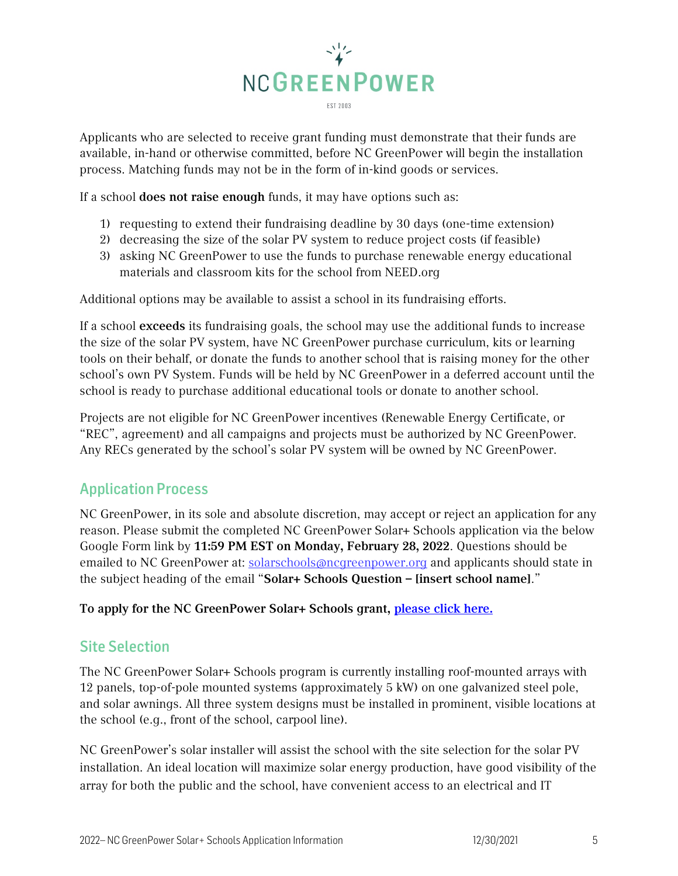

Applicants who are selected to receive grant funding must demonstrate that their funds are available, in-hand or otherwise committed, before NC GreenPower will begin the installation process. Matching funds may not be in the form of in-kind goods or services.

If a school does not raise enough funds, it may have options such as:

- 1) requesting to extend their fundraising deadline by 30 days (one-time extension)
- 2) decreasing the size of the solar PV system to reduce project costs (if feasible)
- 3) asking NC GreenPower to use the funds to purchase renewable energy educational materials and classroom kits for the school from NEED.org

Additional options may be available to assist a school in its fundraising efforts.

If a school exceeds its fundraising goals, the school may use the additional funds to increase the size of the solar PV system, have NC GreenPower purchase curriculum, kits or learning tools on their behalf, or donate the funds to another school that is raising money for the other school's own PV System. Funds will be held by NC GreenPower in a deferred account until the school is ready to purchase additional educational tools or donate to another school.

Projects are not eligible for NC GreenPower incentives (Renewable Energy Certificate, or "REC", agreement) and all campaigns and projects must be authorized by NC GreenPower. Any RECs generated by the school's solar PV system will be owned by NC GreenPower.

## <span id="page-4-0"></span>Application Process

NC GreenPower, in its sole and absolute discretion, may accept or reject an application for any reason. Please submit the completed NC GreenPower Solar+ Schools application via the below Google Form link by 11:59 PM EST on Monday, February 28, 2022. Questions should be emailed to NC GreenPower at: [solarschools@ncgreenpower.org](mailto:solarschools@ncgreenpower.org?subject=Solar%20Schools%20Pilot%20Question:%20%5Binsert%20school%20name%5D) and applicants should state in the subject heading of the email "Solar+ Schools Question – [insert school name]."

<span id="page-4-1"></span>To apply for the NC GreenPower Solar+ Schools grant, [please click here.](https://forms.gle/VcMGAVYEvikpUmSx9)

## Site Selection

The NC GreenPower Solar+ Schools program is currently installing roof-mounted arrays with 12 panels, top-of-pole mounted systems (approximately 5 kW) on one galvanized steel pole, and solar awnings. All three system designs must be installed in prominent, visible locations at the school (e.g., front of the school, carpool line).

NC GreenPower's solar installer will assist the school with the site selection for the solar PV installation. An ideal location will maximize solar energy production, have good visibility of the array for both the public and the school, have convenient access to an electrical and IT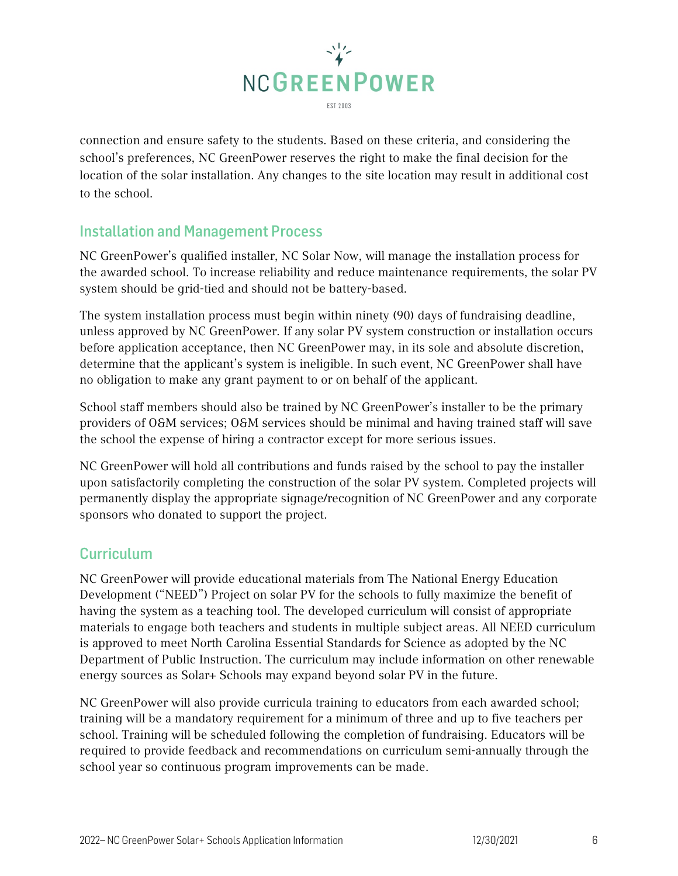

connection and ensure safety to the students. Based on these criteria, and considering the school's preferences, NC GreenPower reserves the right to make the final decision for the location of the solar installation. Any changes to the site location may result in additional cost to the school.

## <span id="page-5-0"></span>Installation and Management Process

NC GreenPower's qualified installer, NC Solar Now, will manage the installation process for the awarded school. To increase reliability and reduce maintenance requirements, the solar PV system should be grid-tied and should not be battery-based.

The system installation process must begin within ninety (90) days of fundraising deadline, unless approved by NC GreenPower. If any solar PV system construction or installation occurs before application acceptance, then NC GreenPower may, in its sole and absolute discretion, determine that the applicant's system is ineligible. In such event, NC GreenPower shall have no obligation to make any grant payment to or on behalf of the applicant.

School staff members should also be trained by NC GreenPower's installer to be the primary providers of O&M services; O&M services should be minimal and having trained staff will save the school the expense of hiring a contractor except for more serious issues.

NC GreenPower will hold all contributions and funds raised by the school to pay the installer upon satisfactorily completing the construction of the solar PV system. Completed projects will permanently display the appropriate signage/recognition of NC GreenPower and any corporate sponsors who donated to support the project.

## <span id="page-5-1"></span>**Curriculum**

NC GreenPower will provide educational materials from The National Energy Education Development ("NEED") Project on solar PV for the schools to fully maximize the benefit of having the system as a teaching tool. The developed curriculum will consist of appropriate materials to engage both teachers and students in multiple subject areas. All NEED curriculum is approved to meet North Carolina Essential Standards for Science as adopted by the NC Department of Public Instruction. The curriculum may include information on other renewable energy sources as Solar+ Schools may expand beyond solar PV in the future.

NC GreenPower will also provide curricula training to educators from each awarded school; training will be a mandatory requirement for a minimum of three and up to five teachers per school. Training will be scheduled following the completion of fundraising. Educators will be required to provide feedback and recommendations on curriculum semi-annually through the school year so continuous program improvements can be made.